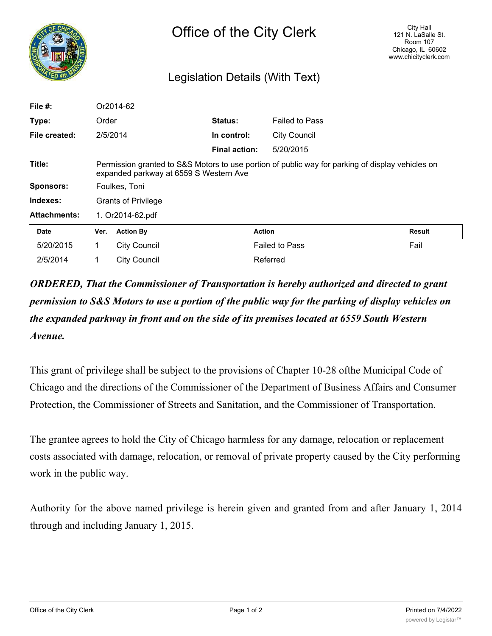

## Legislation Details (With Text)

| File #:             |                                                                                                                                            | Or2014-62           |                      |                       |        |
|---------------------|--------------------------------------------------------------------------------------------------------------------------------------------|---------------------|----------------------|-----------------------|--------|
| Type:               | Order                                                                                                                                      |                     | <b>Status:</b>       | <b>Failed to Pass</b> |        |
| File created:       |                                                                                                                                            | 2/5/2014            | In control:          | <b>City Council</b>   |        |
|                     |                                                                                                                                            |                     | <b>Final action:</b> | 5/20/2015             |        |
| Title:              | Permission granted to S&S Motors to use portion of public way for parking of display vehicles on<br>expanded parkway at 6559 S Western Ave |                     |                      |                       |        |
| <b>Sponsors:</b>    | Foulkes, Toni                                                                                                                              |                     |                      |                       |        |
| Indexes:            | <b>Grants of Privilege</b>                                                                                                                 |                     |                      |                       |        |
| <b>Attachments:</b> | 1. Or2014-62.pdf                                                                                                                           |                     |                      |                       |        |
| <b>Date</b>         | Ver.                                                                                                                                       | <b>Action By</b>    | <b>Action</b>        |                       | Result |
| 5/20/2015           | 1.                                                                                                                                         | <b>City Council</b> |                      | <b>Failed to Pass</b> | Fail   |
| 2/5/2014            |                                                                                                                                            | <b>City Council</b> |                      | Referred              |        |

*ORDERED, That the Commissioner of Transportation is hereby authorized and directed to grant permission to S&S Motors to use a portion of the public way for the parking of display vehicles on the expanded parkway in front and on the side of its premises located at 6559 South Western Avenue.*

This grant of privilege shall be subject to the provisions of Chapter 10-28 ofthe Municipal Code of Chicago and the directions of the Commissioner of the Department of Business Affairs and Consumer Protection, the Commissioner of Streets and Sanitation, and the Commissioner of Transportation.

The grantee agrees to hold the City of Chicago harmless for any damage, relocation or replacement costs associated with damage, relocation, or removal of private property caused by the City performing work in the public way.

Authority for the above named privilege is herein given and granted from and after January 1, 2014 through and including January 1, 2015.